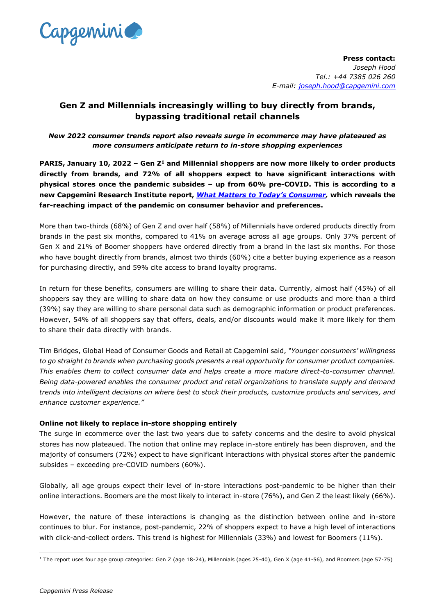

**Press contact:** *Joseph Hood Tel.: +44 7385 026 260 E-mail: [joseph.hood@capgemini.com](mailto:joseph.hood@capgemini.com)*

# **Gen Z and Millennials increasingly willing to buy directly from brands, bypassing traditional retail channels**

*New 2022 consumer trends report also reveals surge in ecommerce may have plateaued as more consumers anticipate return to in-store shopping experiences*

**PARIS, January 10, 2022 – Gen Z<sup>1</sup> and Millennial shoppers are now more likely to order products directly from brands, and 72% of all shoppers expect to have significant interactions with physical stores once the pandemic subsides – up from 60% pre-COVID. This is according to a new Capgemini Research Institute report,** *[What Matters to Today's Consumer](https://www.capgemini.com/research/what-matters-to-the-consumer?utm_source=pr&utm_medium=referral&utm_content=cprd_none_none_pressrelease_none&utm_campaign=CPRD_what-matters-to-todays-consumer),* **which reveals the far-reaching impact of the pandemic on consumer behavior and preferences.**

More than two-thirds (68%) of Gen Z and over half (58%) of Millennials have ordered products directly from brands in the past six months, compared to 41% on average across all age groups. Only 37% percent of Gen X and 21% of Boomer shoppers have ordered directly from a brand in the last six months. For those who have bought directly from brands, almost two thirds (60%) cite a better buying experience as a reason for purchasing directly, and 59% cite access to brand loyalty programs.

In return for these benefits, consumers are willing to share their data. Currently, almost half (45%) of all shoppers say they are willing to share data on how they consume or use products and more than a third (39%) say they are willing to share personal data such as demographic information or product preferences. However, 54% of all shoppers say that offers, deals, and/or discounts would make it more likely for them to share their data directly with brands.

Tim Bridges, Global Head of Consumer Goods and Retail at Capgemini said, *"Younger consumers' willingness to go straight to brands when purchasing goods presents a real opportunity for consumer product companies. This enables them to collect consumer data and helps create a more mature direct-to-consumer channel. Being data-powered enables the consumer product and retail organizations to translate supply and demand trends into intelligent decisions on where best to stock their products, customize products and services, and enhance customer experience."* 

# **Online not likely to replace in-store shopping entirely**

The surge in ecommerce over the last two years due to safety concerns and the desire to avoid physical stores has now plateaued. The notion that online may replace in-store entirely has been disproven, and the majority of consumers (72%) expect to have significant interactions with physical stores after the pandemic subsides – exceeding pre-COVID numbers (60%).

Globally, all age groups expect their level of in-store interactions post-pandemic to be higher than their online interactions. Boomers are the most likely to interact in-store (76%), and Gen Z the least likely (66%).

However, the nature of these interactions is changing as the distinction between online and in-store continues to blur. For instance, post-pandemic, 22% of shoppers expect to have a high level of interactions with click-and-collect orders. This trend is highest for Millennials (33%) and lowest for Boomers (11%).

<sup>&</sup>lt;sup>1</sup> The report uses four age group categories: Gen Z (age 18-24), Millennials (ages 25-40), Gen X (age 41-56), and Boomers (age 57-75)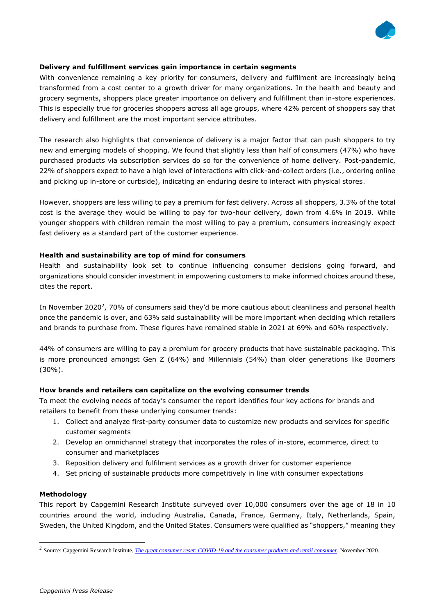

## **Delivery and fulfillment services gain importance in certain segments**

With convenience remaining a key priority for consumers, delivery and fulfilment are increasingly being transformed from a cost center to a growth driver for many organizations. In the health and beauty and grocery segments, shoppers place greater importance on delivery and fulfillment than in-store experiences. This is especially true for groceries shoppers across all age groups, where 42% percent of shoppers say that delivery and fulfillment are the most important service attributes.

The research also highlights that convenience of delivery is a major factor that can push shoppers to try new and emerging models of shopping. We found that slightly less than half of consumers (47%) who have purchased products via subscription services do so for the convenience of home delivery. Post-pandemic, 22% of shoppers expect to have a high level of interactions with click-and-collect orders (i.e., ordering online and picking up in-store or curbside), indicating an enduring desire to interact with physical stores.

However, shoppers are less willing to pay a premium for fast delivery. Across all shoppers, 3.3% of the total cost is the average they would be willing to pay for two-hour delivery, down from 4.6% in 2019. While younger shoppers with children remain the most willing to pay a premium, consumers increasingly expect fast delivery as a standard part of the customer experience.

### **Health and sustainability are top of mind for consumers**

Health and sustainability look set to continue influencing consumer decisions going forward, and organizations should consider investment in empowering customers to make informed choices around these, cites the report.

In November 2020<sup>2</sup>, 70% of consumers said they'd be more cautious about cleanliness and personal health once the pandemic is over, and 63% said sustainability will be more important when deciding which retailers and brands to purchase from. These figures have remained stable in 2021 at 69% and 60% respectively.

44% of consumers are willing to pay a premium for grocery products that have sustainable packaging. This is more pronounced amongst Gen Z (64%) and Millennials (54%) than older generations like Boomers (30%).

### **How brands and retailers can capitalize on the evolving consumer trends**

To meet the evolving needs of today's consumer the report identifies four key actions for brands and retailers to benefit from these underlying consumer trends:

- 1. Collect and analyze first-party consumer data to customize new products and services for specific customer segments
- 2. Develop an omnichannel strategy that incorporates the roles of in-store, ecommerce, direct to consumer and marketplaces
- 3. Reposition delivery and fulfilment services as a growth driver for customer experience
- 4. Set pricing of sustainable products more competitively in line with consumer expectations

### **Methodology**

This report by Capgemini Research Institute surveyed over 10,000 consumers over the age of 18 in 10 countries around the world, including Australia, Canada, France, Germany, Italy, Netherlands, Spain, Sweden, the United Kingdom, and the United States. Consumers were qualified as "shoppers," meaning they

<sup>2</sup> Source: Capgemini Research Institute, *[The great consumer reset: COVID-19 and the consumer products and retail consumer](https://www.capgemini.com/wp-content/uploads/2020/11/The-great-consumer-reset-report.pdf)*, November 2020.